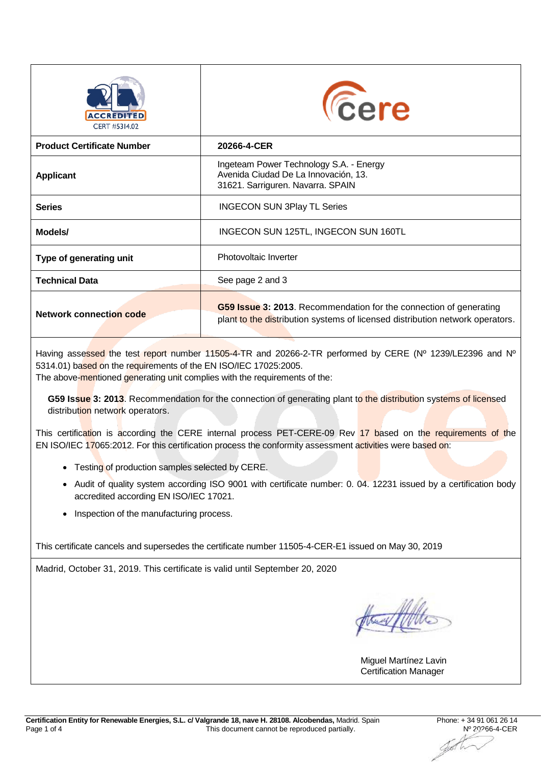| CERT #5314.02                     | <b><i><u>Cere</u></i></b>                                                                                                                           |
|-----------------------------------|-----------------------------------------------------------------------------------------------------------------------------------------------------|
| <b>Product Certificate Number</b> | 20266-4-CER                                                                                                                                         |
| <b>Applicant</b>                  | Ingeteam Power Technology S.A. - Energy<br>Avenida Ciudad De La Innovación, 13.<br>31621. Sarriguren. Navarra. SPAIN                                |
| <b>Series</b>                     | <b>INGECON SUN 3Play TL Series</b>                                                                                                                  |
| Models/                           | INGECON SUN 125TL, INGECON SUN 160TL                                                                                                                |
| Type of generating unit           | Photovoltaic Inverter                                                                                                                               |
| <b>Technical Data</b>             | See page 2 and 3                                                                                                                                    |
| <b>Network connection code</b>    | G59 Issue 3: 2013. Recommendation for the connection of generating<br>plant to the distribution systems of licensed distribution network operators. |

Having assessed the test report number 11505-4-TR and 20266-2-TR performed by CERE (Nº 1239/LE2396 and Nº 5314.01) based on the requirements of the EN ISO/IEC 17025:2005.

The above-mentioned generating unit complies with the requirements of the:

**G59 Issue 3: 2013**. Recommendation for the connection of generating plant to the distribution systems of licensed distribution network operators.

This certification is according the CERE internal process PET-CERE-09 Rev 17 based on the requirements of the EN ISO/IEC 17065:2012. For this certification process the conformity assessment activities were based on:

- Testing of production samples selected by CERE.
- Audit of quality system according ISO 9001 with certificate number: 0. 04. 12231 issued by a certification body accredited according EN ISO/IEC 17021.
- Inspection of the manufacturing process.

This certificate cancels and supersedes the certificate number 11505-4-CER-E1 issued on May 30, 2019

Madrid, October 31, 2019. This certificate is valid until September 20, 2020

Miguel Martínez Lavin Certification Manager

YB !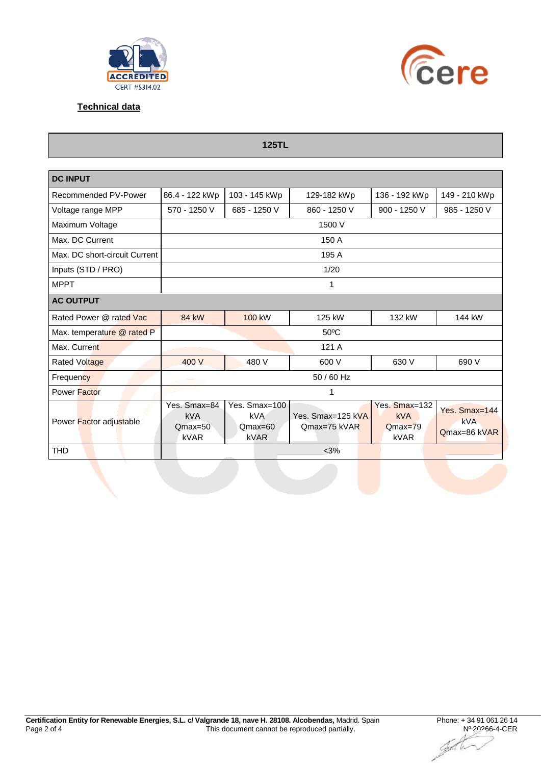



**Technical data**

**125TL**

| <b>DC INPUT</b>               |                                                 |                                                         |                                     |                                                  |                                             |  |  |  |  |  |
|-------------------------------|-------------------------------------------------|---------------------------------------------------------|-------------------------------------|--------------------------------------------------|---------------------------------------------|--|--|--|--|--|
| Recommended PV-Power          | 86.4 - 122 kWp                                  | 103 - 145 kWp                                           | 129-182 kWp                         | 136 - 192 kWp                                    |                                             |  |  |  |  |  |
| Voltage range MPP             | 570 - 1250 V                                    | 685 - 1250 V                                            | 860 - 1250 V                        | 900 - 1250 V                                     | 985 - 1250 V                                |  |  |  |  |  |
| Maximum Voltage               | 1500 V                                          |                                                         |                                     |                                                  |                                             |  |  |  |  |  |
| Max. DC Current               | 150 A                                           |                                                         |                                     |                                                  |                                             |  |  |  |  |  |
| Max. DC short-circuit Current | 195 A                                           |                                                         |                                     |                                                  |                                             |  |  |  |  |  |
| Inputs (STD / PRO)            | 1/20                                            |                                                         |                                     |                                                  |                                             |  |  |  |  |  |
| <b>MPPT</b>                   | 1                                               |                                                         |                                     |                                                  |                                             |  |  |  |  |  |
| <b>AC OUTPUT</b>              |                                                 |                                                         |                                     |                                                  |                                             |  |  |  |  |  |
| Rated Power @ rated Vac       | <b>84 kW</b>                                    | <b>100 kW</b>                                           | 125 kW<br>132 kW                    |                                                  | 144 kW                                      |  |  |  |  |  |
| Max. temperature @ rated P    | $50^{\circ}$ C                                  |                                                         |                                     |                                                  |                                             |  |  |  |  |  |
| Max. Current                  | 121 A                                           |                                                         |                                     |                                                  |                                             |  |  |  |  |  |
| Rated Voltage                 | 400 V                                           | 480 V                                                   | 600 V                               | 630 V                                            | 690 V                                       |  |  |  |  |  |
| Frequency                     | 50 / 60 Hz                                      |                                                         |                                     |                                                  |                                             |  |  |  |  |  |
| Power Factor                  | 1                                               |                                                         |                                     |                                                  |                                             |  |  |  |  |  |
| Power Factor adjustable       | Yes. Smax=84<br>kVA<br>$Qmax=50$<br><b>kVAR</b> | Yes. Smax=100<br><b>kVA</b><br>$Qmax=60$<br><b>kVAR</b> | Yes. Smax=125 kVA<br>$Qmax=75$ kVAR | Yes. Smax=132<br><b>kVA</b><br>$Qmax=79$<br>kVAR | Yes. Smax=144<br><b>kVA</b><br>Qmax=86 kVAR |  |  |  |  |  |
| <b>THD</b>                    | $<$ 3%                                          |                                                         |                                     |                                                  |                                             |  |  |  |  |  |

Jøb W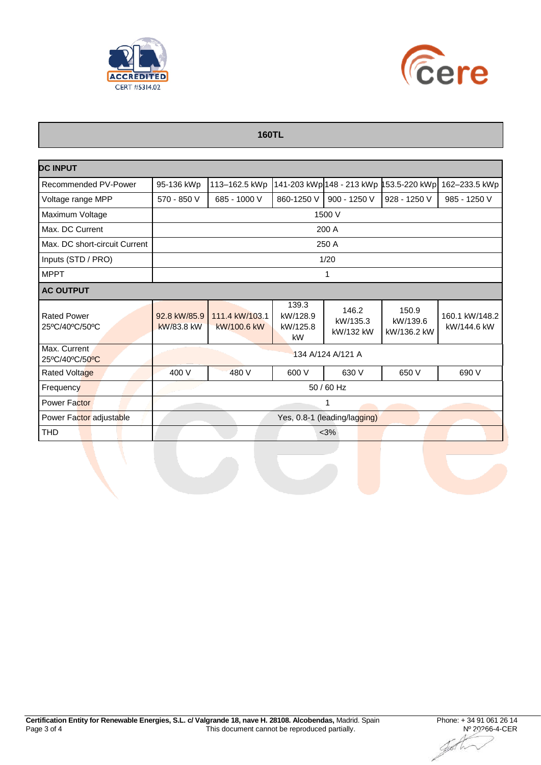



## **160TL**

| <b>DC INPUT</b>                      |                              |                               |                                     |                                |                                  |                               |  |  |  |
|--------------------------------------|------------------------------|-------------------------------|-------------------------------------|--------------------------------|----------------------------------|-------------------------------|--|--|--|
| Recommended PV-Power                 | 95-136 kWp                   | 113-162.5 kWp                 |                                     | 141-203 kWp 148 - 213 kWp 1    | 53.5-220 kWp                     | 162-233.5 kWp                 |  |  |  |
| Voltage range MPP                    | 570 - 850 V                  | 685 - 1000 V                  | 860-1250 V                          | 900 - 1250 V                   | 928 - 1250 V                     | 985 - 1250 V                  |  |  |  |
| Maximum Voltage                      | 1500 V                       |                               |                                     |                                |                                  |                               |  |  |  |
| Max. DC Current                      | 200 A                        |                               |                                     |                                |                                  |                               |  |  |  |
| Max. DC short-circuit Current        | 250 A                        |                               |                                     |                                |                                  |                               |  |  |  |
| Inputs (STD / PRO)                   | 1/20                         |                               |                                     |                                |                                  |                               |  |  |  |
| <b>MPPT</b>                          | 1                            |                               |                                     |                                |                                  |                               |  |  |  |
| <b>AC OUTPUT</b>                     |                              |                               |                                     |                                |                                  |                               |  |  |  |
| <b>Rated Power</b><br>25°C/40°C/50°C | 92.8 kW/85.9<br>kW/83.8 kW   | 111.4 kW/103.1<br>kW/100.6 kW | 139.3<br>kW/128.9<br>kW/125.8<br>kW | 146.2<br>kW/135.3<br>kW/132 kW | 150.9<br>kW/139.6<br>kW/136.2 kW | 160.1 kW/148.2<br>kW/144.6 kW |  |  |  |
| Max. Current<br>25°C/40°C/50°C       | 134 A/124 A/121 A            |                               |                                     |                                |                                  |                               |  |  |  |
| <b>Rated Voltage</b>                 | 400 V                        | 480 V                         | 600 V                               | 630 V                          | 650 V                            | 690 V                         |  |  |  |
| Frequency                            | 50 / 60 Hz                   |                               |                                     |                                |                                  |                               |  |  |  |
| <b>Power Factor</b>                  | 1                            |                               |                                     |                                |                                  |                               |  |  |  |
| Power Factor adjustable              | Yes, 0.8-1 (leading/lagging) |                               |                                     |                                |                                  |                               |  |  |  |
| <b>THD</b>                           | $<$ 3%                       |                               |                                     |                                |                                  |                               |  |  |  |

Jø1 Tr.